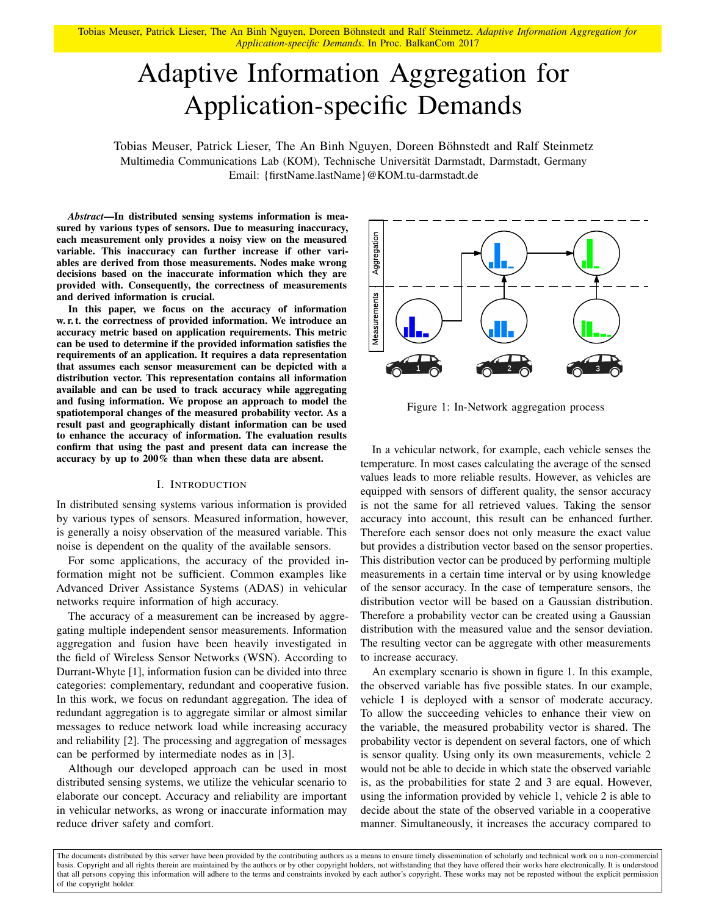Tobias Meuser, Patrick Lieser, The An Binh Nguyen, Doreen Böhnstedt and Ralf Steinmetz. *Adaptive Information Aggregation for Application-specific Demands*. In Proc. BalkanCom 2017

# Adaptive Information Aggregation for Application-specific Demands

Tobias Meuser, Patrick Lieser, The An Binh Nguyen, Doreen Böhnstedt and Ralf Steinmetz Multimedia Communications Lab (KOM), Technische Universität Darmstadt, Darmstadt, Germany Email: {firstName.lastName}@KOM.tu-darmstadt.de

*Abstract*—In distributed sensing systems information is measured by various types of sensors. Due to measuring inaccuracy, each measurement only provides a noisy view on the measured variable. This inaccuracy can further increase if other variables are derived from those measurements. Nodes make wrong decisions based on the inaccurate information which they are provided with. Consequently, the correctness of measurements and derived information is crucial.

In this paper, we focus on the accuracy of information w. r. t. the correctness of provided information. We introduce an accuracy metric based on application requirements. This metric can be used to determine if the provided information satisfies the requirements of an application. It requires a data representation that assumes each sensor measurement can be depicted with a distribution vector. This representation contains all information available and can be used to track accuracy while aggregating and fusing information. We propose an approach to model the spatiotemporal changes of the measured probability vector. As a result past and geographically distant information can be used to enhance the accuracy of information. The evaluation results confirm that using the past and present data can increase the accuracy by up to 200% than when these data are absent.

#### I. INTRODUCTION

In distributed sensing systems various information is provided by various types of sensors. Measured information, however, is generally a noisy observation of the measured variable. This noise is dependent on the quality of the available sensors.

For some applications, the accuracy of the provided information might not be sufficient. Common examples like Advanced Driver Assistance Systems (ADAS) in vehicular networks require information of high accuracy.

The accuracy of a measurement can be increased by aggregating multiple independent sensor measurements. Information aggregation and fusion have been heavily investigated in the field of Wireless Sensor Networks (WSN). According to Durrant-Whyte [\[1\]](#page-4-0), information fusion can be divided into three categories: complementary, redundant and cooperative fusion. In this work, we focus on redundant aggregation. The idea of redundant aggregation is to aggregate similar or almost similar messages to reduce network load while increasing accuracy and reliability [\[2\]](#page-4-1). The processing and aggregation of messages can be performed by intermediate nodes as in [\[3\]](#page-4-2).

Although our developed approach can be used in most distributed sensing systems, we utilize the vehicular scenario to elaborate our concept. Accuracy and reliability are important in vehicular networks, as wrong or inaccurate information may reduce driver safety and comfort.

<span id="page-0-0"></span>

Figure 1: In-Network aggregation process

In a vehicular network, for example, each vehicle senses the temperature. In most cases calculating the average of the sensed values leads to more reliable results. However, as vehicles are equipped with sensors of different quality, the sensor accuracy is not the same for all retrieved values. Taking the sensor accuracy into account, this result can be enhanced further. Therefore each sensor does not only measure the exact value but provides a distribution vector based on the sensor properties. This distribution vector can be produced by performing multiple measurements in a certain time interval or by using knowledge of the sensor accuracy. In the case of temperature sensors, the distribution vector will be based on a Gaussian distribution. Therefore a probability vector can be created using a Gaussian distribution with the measured value and the sensor deviation. The resulting vector can be aggregate with other measurements to increase accuracy.

An exemplary scenario is shown in figure [1.](#page-0-0) In this example, the observed variable has five possible states. In our example, vehicle 1 is deployed with a sensor of moderate accuracy. To allow the succeeding vehicles to enhance their view on the variable, the measured probability vector is shared. The probability vector is dependent on several factors, one of which is sensor quality. Using only its own measurements, vehicle 2 would not be able to decide in which state the observed variable is, as the probabilities for state 2 and 3 are equal. However, using the information provided by vehicle 1, vehicle 2 is able to decide about the state of the observed variable in a cooperative manner. Simultaneously, it increases the accuracy compared to

The documents distributed by this server have been provided by the contributing authors as a means to ensure timely dissemination of scholarly and technical work on a non-commercial basis. Copyright and all rights therein are maintained by the authors or by other copyright holders, not withstanding that they have offered their works here electronically. It is understood that all persons copying this information will adhere to the terms and constraints invoked by each author's copyright. These works may not be reposted without the explicit permission of the copyright holder.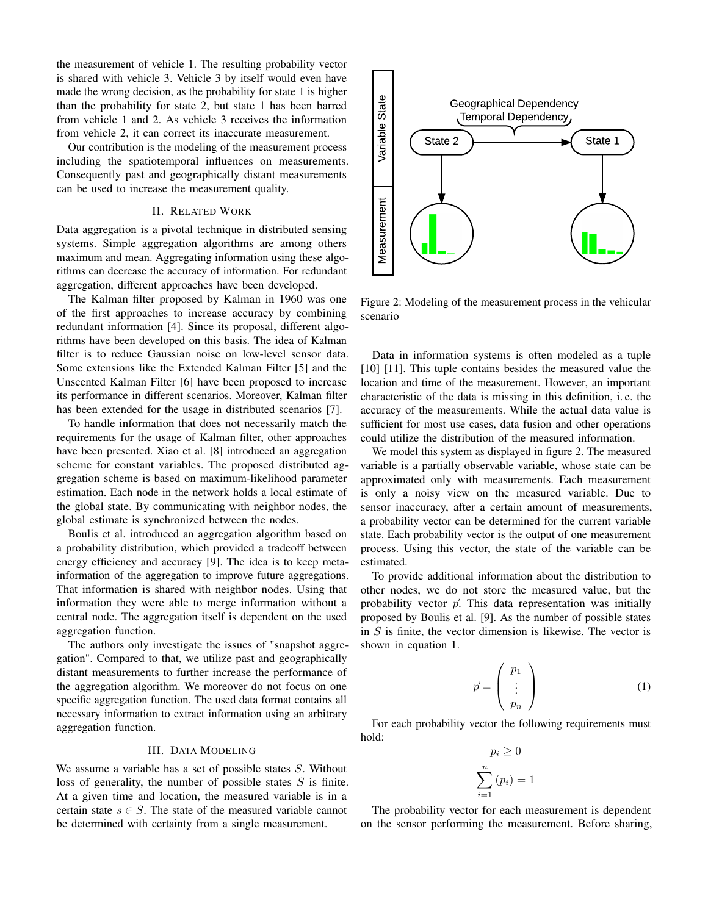the measurement of vehicle 1. The resulting probability vector is shared with vehicle 3. Vehicle 3 by itself would even have made the wrong decision, as the probability for state 1 is higher than the probability for state 2, but state 1 has been barred from vehicle 1 and 2. As vehicle 3 receives the information from vehicle 2, it can correct its inaccurate measurement.

Our contribution is the modeling of the measurement process including the spatiotemporal influences on measurements. Consequently past and geographically distant measurements can be used to increase the measurement quality.

## II. RELATED WORK

Data aggregation is a pivotal technique in distributed sensing systems. Simple aggregation algorithms are among others maximum and mean. Aggregating information using these algorithms can decrease the accuracy of information. For redundant aggregation, different approaches have been developed.

The Kalman filter proposed by Kalman in 1960 was one of the first approaches to increase accuracy by combining redundant information [\[4\]](#page-4-3). Since its proposal, different algorithms have been developed on this basis. The idea of Kalman filter is to reduce Gaussian noise on low-level sensor data. Some extensions like the Extended Kalman Filter [\[5\]](#page-4-4) and the Unscented Kalman Filter [\[6\]](#page-4-5) have been proposed to increase its performance in different scenarios. Moreover, Kalman filter has been extended for the usage in distributed scenarios [\[7\]](#page-4-6).

To handle information that does not necessarily match the requirements for the usage of Kalman filter, other approaches have been presented. Xiao et al. [\[8\]](#page-4-7) introduced an aggregation scheme for constant variables. The proposed distributed aggregation scheme is based on maximum-likelihood parameter estimation. Each node in the network holds a local estimate of the global state. By communicating with neighbor nodes, the global estimate is synchronized between the nodes.

Boulis et al. introduced an aggregation algorithm based on a probability distribution, which provided a tradeoff between energy efficiency and accuracy [\[9\]](#page-4-8). The idea is to keep metainformation of the aggregation to improve future aggregations. That information is shared with neighbor nodes. Using that information they were able to merge information without a central node. The aggregation itself is dependent on the used aggregation function.

The authors only investigate the issues of "snapshot aggregation". Compared to that, we utilize past and geographically distant measurements to further increase the performance of the aggregation algorithm. We moreover do not focus on one specific aggregation function. The used data format contains all necessary information to extract information using an arbitrary aggregation function.

## III. DATA MODELING

<span id="page-1-2"></span>We assume a variable has a set of possible states S. Without loss of generality, the number of possible states  $S$  is finite. At a given time and location, the measured variable is in a certain state  $s \in S$ . The state of the measured variable cannot be determined with certainty from a single measurement.

<span id="page-1-0"></span>

Figure 2: Modeling of the measurement process in the vehicular scenario

Data in information systems is often modeled as a tuple [\[10\]](#page-4-9) [\[11\]](#page-4-10). This tuple contains besides the measured value the location and time of the measurement. However, an important characteristic of the data is missing in this definition, i. e. the accuracy of the measurements. While the actual data value is sufficient for most use cases, data fusion and other operations could utilize the distribution of the measured information.

We model this system as displayed in figure [2.](#page-1-0) The measured variable is a partially observable variable, whose state can be approximated only with measurements. Each measurement is only a noisy view on the measured variable. Due to sensor inaccuracy, after a certain amount of measurements, a probability vector can be determined for the current variable state. Each probability vector is the output of one measurement process. Using this vector, the state of the variable can be estimated.

To provide additional information about the distribution to other nodes, we do not store the measured value, but the probability vector  $\vec{p}$ . This data representation was initially proposed by Boulis et al. [\[9\]](#page-4-8). As the number of possible states in S is finite, the vector dimension is likewise. The vector is shown in equation [1.](#page-1-1)

<span id="page-1-1"></span>
$$
\vec{p} = \begin{pmatrix} p_1 \\ \vdots \\ p_n \end{pmatrix} \tag{1}
$$

For each probability vector the following requirements must hold:

$$
p_i \ge 0
$$

$$
\sum_{i=1}^n (p_i) = 1
$$

The probability vector for each measurement is dependent on the sensor performing the measurement. Before sharing,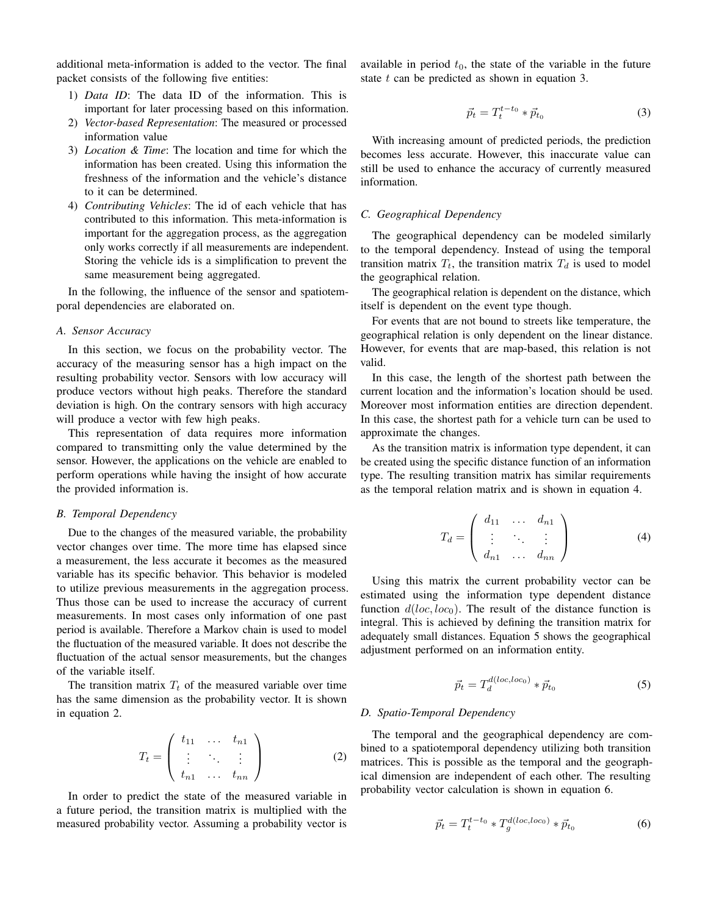additional meta-information is added to the vector. The final packet consists of the following five entities:

- 1) *Data ID*: The data ID of the information. This is important for later processing based on this information.
- 2) *Vector-based Representation*: The measured or processed information value
- 3) *Location & Time*: The location and time for which the information has been created. Using this information the freshness of the information and the vehicle's distance to it can be determined.
- 4) *Contributing Vehicles*: The id of each vehicle that has contributed to this information. This meta-information is important for the aggregation process, as the aggregation only works correctly if all measurements are independent. Storing the vehicle ids is a simplification to prevent the same measurement being aggregated.

In the following, the influence of the sensor and spatiotemporal dependencies are elaborated on.

## *A. Sensor Accuracy*

In this section, we focus on the probability vector. The accuracy of the measuring sensor has a high impact on the resulting probability vector. Sensors with low accuracy will produce vectors without high peaks. Therefore the standard deviation is high. On the contrary sensors with high accuracy will produce a vector with few high peaks.

This representation of data requires more information compared to transmitting only the value determined by the sensor. However, the applications on the vehicle are enabled to perform operations while having the insight of how accurate the provided information is.

#### *B. Temporal Dependency*

Due to the changes of the measured variable, the probability vector changes over time. The more time has elapsed since a measurement, the less accurate it becomes as the measured variable has its specific behavior. This behavior is modeled to utilize previous measurements in the aggregation process. Thus those can be used to increase the accuracy of current measurements. In most cases only information of one past period is available. Therefore a Markov chain is used to model the fluctuation of the measured variable. It does not describe the fluctuation of the actual sensor measurements, but the changes of the variable itself.

The transition matrix  $T_t$  of the measured variable over time has the same dimension as the probability vector. It is shown in equation [2.](#page-2-0)

<span id="page-2-0"></span>
$$
T_t = \left(\begin{array}{ccc} t_{11} & \dots & t_{n1} \\ \vdots & \ddots & \vdots \\ t_{n1} & \dots & t_{nn} \end{array}\right) \tag{2}
$$

In order to predict the state of the measured variable in a future period, the transition matrix is multiplied with the measured probability vector. Assuming a probability vector is available in period  $t_0$ , the state of the variable in the future state  $t$  can be predicted as shown in equation [3.](#page-2-1)

<span id="page-2-1"></span>
$$
\vec{p}_t = T_t^{t-t_0} * \vec{p}_{t_0} \tag{3}
$$

With increasing amount of predicted periods, the prediction becomes less accurate. However, this inaccurate value can still be used to enhance the accuracy of currently measured information.

## *C. Geographical Dependency*

The geographical dependency can be modeled similarly to the temporal dependency. Instead of using the temporal transition matrix  $T_t$ , the transition matrix  $T_d$  is used to model the geographical relation.

The geographical relation is dependent on the distance, which itself is dependent on the event type though.

For events that are not bound to streets like temperature, the geographical relation is only dependent on the linear distance. However, for events that are map-based, this relation is not valid.

In this case, the length of the shortest path between the current location and the information's location should be used. Moreover most information entities are direction dependent. In this case, the shortest path for a vehicle turn can be used to approximate the changes.

As the transition matrix is information type dependent, it can be created using the specific distance function of an information type. The resulting transition matrix has similar requirements as the temporal relation matrix and is shown in equation [4.](#page-2-2)

<span id="page-2-2"></span>
$$
T_d = \left(\begin{array}{cccc} d_{11} & \dots & d_{n1} \\ \vdots & \ddots & \vdots \\ d_{n1} & \dots & d_{nn} \end{array}\right) \tag{4}
$$

Using this matrix the current probability vector can be estimated using the information type dependent distance function  $d(loc, loc_0)$ . The result of the distance function is integral. This is achieved by defining the transition matrix for adequately small distances. Equation [5](#page-2-3) shows the geographical adjustment performed on an information entity.

<span id="page-2-3"></span>
$$
\vec{p}_t = T_d^{d(loc,loc_0)} * \vec{p}_{t_0}
$$
\n<sup>(5)</sup>

#### *D. Spatio-Temporal Dependency*

The temporal and the geographical dependency are combined to a spatiotemporal dependency utilizing both transition matrices. This is possible as the temporal and the geographical dimension are independent of each other. The resulting probability vector calculation is shown in equation [6.](#page-2-4)

<span id="page-2-4"></span>
$$
\vec{p}_t = T_t^{t-t_0} * T_g^{d(loc,loc_0)} * \vec{p}_{t_0}
$$
 (6)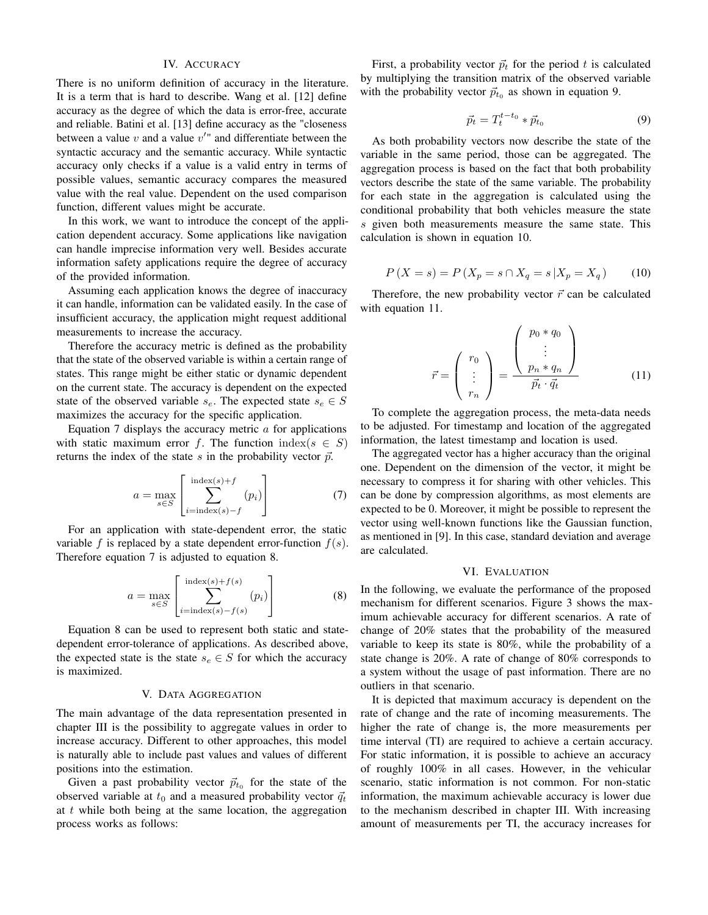## IV. ACCURACY

There is no uniform definition of accuracy in the literature. It is a term that is hard to describe. Wang et al. [\[12\]](#page-4-11) define accuracy as the degree of which the data is error-free, accurate and reliable. Batini et al. [\[13\]](#page-4-12) define accuracy as the "closeness between a value  $v$  and a value  $v''$  and differentiate between the syntactic accuracy and the semantic accuracy. While syntactic accuracy only checks if a value is a valid entry in terms of possible values, semantic accuracy compares the measured value with the real value. Dependent on the used comparison function, different values might be accurate.

In this work, we want to introduce the concept of the application dependent accuracy. Some applications like navigation can handle imprecise information very well. Besides accurate information safety applications require the degree of accuracy of the provided information.

Assuming each application knows the degree of inaccuracy it can handle, information can be validated easily. In the case of insufficient accuracy, the application might request additional measurements to increase the accuracy.

Therefore the accuracy metric is defined as the probability that the state of the observed variable is within a certain range of states. This range might be either static or dynamic dependent on the current state. The accuracy is dependent on the expected state of the observed variable  $s_e$ . The expected state  $s_e \in S$ maximizes the accuracy for the specific application.

Equation [7](#page-3-0) displays the accuracy metric  $\alpha$  for applications with static maximum error f. The function index( $s \in S$ ) returns the index of the state s in the probability vector  $\vec{p}$ .

<span id="page-3-0"></span>
$$
a = \max_{s \in S} \left[ \sum_{i=\text{index}(s)-f}^{\text{index}(s)+f} (p_i) \right] \tag{7}
$$

For an application with state-dependent error, the static variable f is replaced by a state dependent error-function  $f(s)$ . Therefore equation [7](#page-3-0) is adjusted to equation [8.](#page-3-1)

<span id="page-3-1"></span>
$$
a = \max_{s \in S} \left[ \sum_{i=\text{index}(s)-f(s)}^{\text{index}(s)+f(s)} (p_i) \right]
$$
(8)

Equation [8](#page-3-1) can be used to represent both static and statedependent error-tolerance of applications. As described above, the expected state is the state  $s_e \in S$  for which the accuracy is maximized.

## V. DATA AGGREGATION

The main advantage of the data representation presented in chapter [III](#page-1-2) is the possibility to aggregate values in order to increase accuracy. Different to other approaches, this model is naturally able to include past values and values of different positions into the estimation.

Given a past probability vector  $\vec{p}_{t_0}$  for the state of the observed variable at  $t_0$  and a measured probability vector  $\vec{q}_t$ at  $t$  while both being at the same location, the aggregation process works as follows:

First, a probability vector  $\vec{p}_t$  for the period t is calculated by multiplying the transition matrix of the observed variable with the probability vector  $\vec{p}_{t_0}$  as shown in equation [9.](#page-3-2)

<span id="page-3-2"></span>
$$
\vec{p}_t = T_t^{t-t_0} * \vec{p}_{t_0}
$$
\n(9)

As both probability vectors now describe the state of the variable in the same period, those can be aggregated. The aggregation process is based on the fact that both probability vectors describe the state of the same variable. The probability for each state in the aggregation is calculated using the conditional probability that both vehicles measure the state s given both measurements measure the same state. This calculation is shown in equation [10.](#page-3-3)

<span id="page-3-3"></span>
$$
P(X = s) = P(X_p = s \cap X_q = s | X_p = X_q)
$$
 (10)

Therefore, the new probability vector  $\vec{r}$  can be calculated with equation [11.](#page-3-4)

<span id="page-3-4"></span>
$$
\vec{r} = \begin{pmatrix} r_0 \\ \vdots \\ r_n \end{pmatrix} = \frac{\begin{pmatrix} p_0 * q_0 \\ \vdots \\ p_n * q_n \end{pmatrix}}{\vec{p}_t \cdot \vec{q}_t}
$$
(11)

To complete the aggregation process, the meta-data needs to be adjusted. For timestamp and location of the aggregated information, the latest timestamp and location is used.

The aggregated vector has a higher accuracy than the original one. Dependent on the dimension of the vector, it might be necessary to compress it for sharing with other vehicles. This can be done by compression algorithms, as most elements are expected to be 0. Moreover, it might be possible to represent the vector using well-known functions like the Gaussian function, as mentioned in [\[9\]](#page-4-8). In this case, standard deviation and average are calculated.

## VI. EVALUATION

In the following, we evaluate the performance of the proposed mechanism for different scenarios. Figure [3](#page-4-13) shows the maximum achievable accuracy for different scenarios. A rate of change of 20% states that the probability of the measured variable to keep its state is 80%, while the probability of a state change is 20%. A rate of change of 80% corresponds to a system without the usage of past information. There are no outliers in that scenario.

It is depicted that maximum accuracy is dependent on the rate of change and the rate of incoming measurements. The higher the rate of change is, the more measurements per time interval (TI) are required to achieve a certain accuracy. For static information, it is possible to achieve an accuracy of roughly 100% in all cases. However, in the vehicular scenario, static information is not common. For non-static information, the maximum achievable accuracy is lower due to the mechanism described in chapter [III.](#page-1-2) With increasing amount of measurements per TI, the accuracy increases for